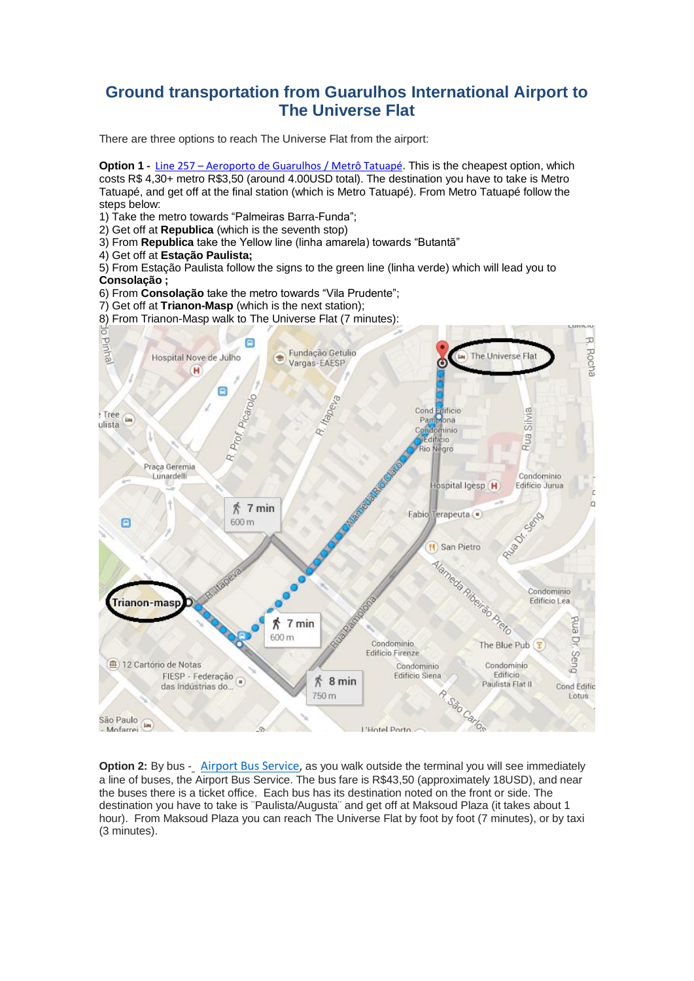## **Ground transportation from Guarulhos International Airport to The Universe Flat**

There are three options to reach The Universe Flat from the airport:

**Option 1 -** Line 257 – [Aeroporto](http://www.viajenaviagem.com/2011/01/a-boia-em-ponte-aerea-para-duros/) de Guarulhos / Metrô Tatuapé**.** This is the cheapest option, which costs R\$ 4,30+ metro R\$3,50 (around 4.00USD total). The destination you have to take is Metro Tatuapé, and get off at the final station (which is Metro Tatuapé). From Metro Tatuapé follow the steps below:

1) Take the metro towards "Palmeiras Barra-Funda";

- 2) Get off at **Republica** (which is the seventh stop)
- 3) From **Republica** take the Yellow line (linha amarela) towards "Butantã"
- 4) Get off at **Estação Paulista;**

5) From Estação Paulista follow the signs to the green line (linha verde) which will lead you to **Consolação ;**

6) From **Consolação** take the metro towards "Vila Prudente";

- 7) Get off at **Trianon-Masp** (which is the next station);
- 8) From Trianon-Masp walk to The Universe Flat (7 minutes):



**Option 2:** By bus - [Airport Bus Service,](http://www.airportbusservice.com.br/) as you walk outside the terminal you will see immediately a line of buses, the Airport Bus Service. The bus fare is R\$43,50 (approximately 18USD), and near the buses there is a ticket office. Each bus has its destination noted on the front or side. The destination you have to take is ¨Paulista/Augusta¨ and get off at Maksoud Plaza (it takes about 1 hour). From Maksoud Plaza you can reach The Universe Flat by foot by foot (7 minutes), or by taxi (3 minutes).